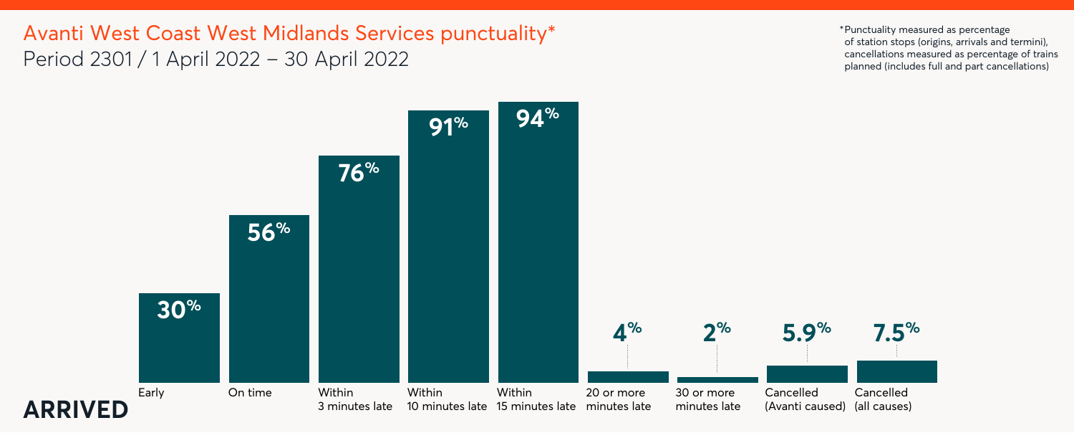



Avanti West Coast West Midlands Services punctuality\* Period 2301 / 1 April 2022 – 30 April 2022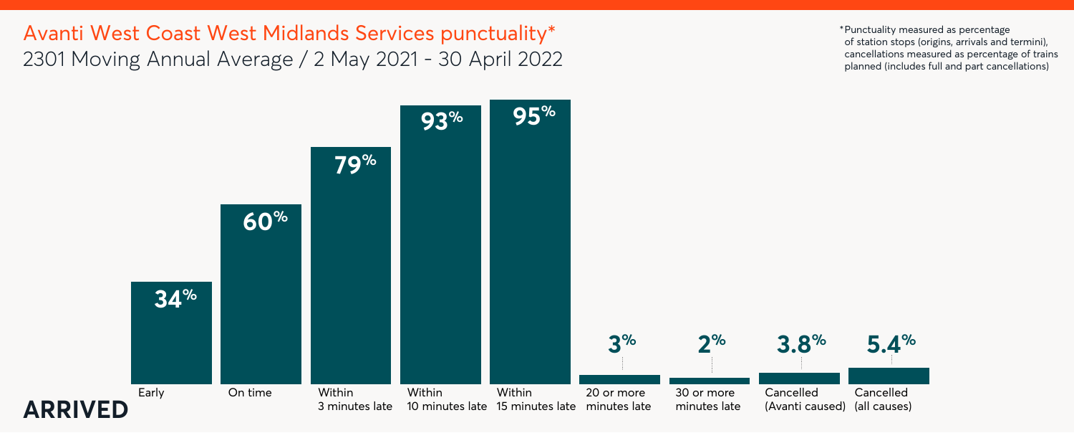



Avanti West Coast West Midlands Services punctuality\* 2301 Moving Annual Average / 2 May 2021 - 30 April 2022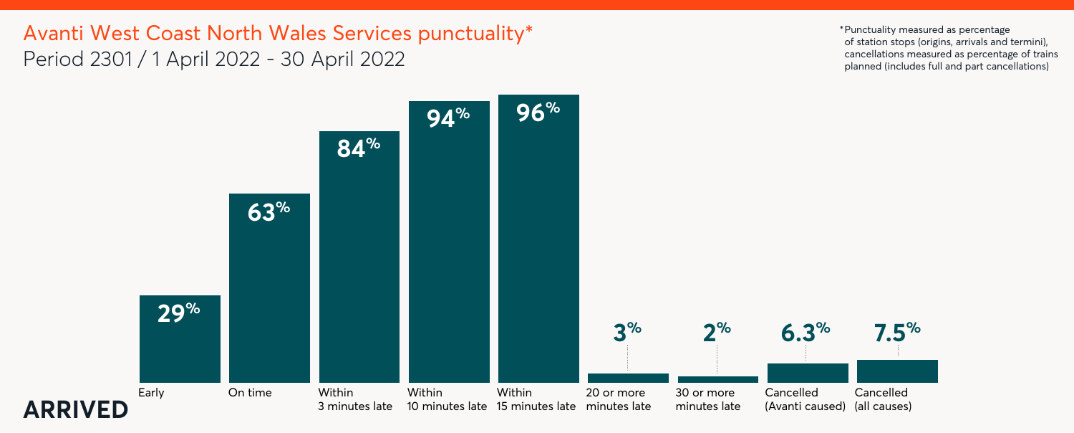

## Avanti West Coast North Wales Services punctuality\* Period 2301 / 1 April 2022 - 30 April 2022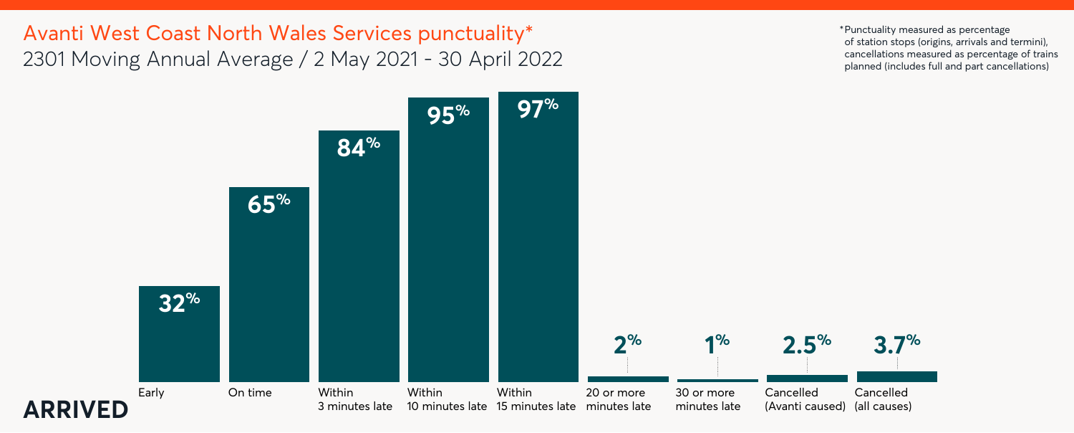

Avanti West Coast North Wales Services punctuality\* 2301 Moving Annual Average / 2 May 2021 - 30 April 2022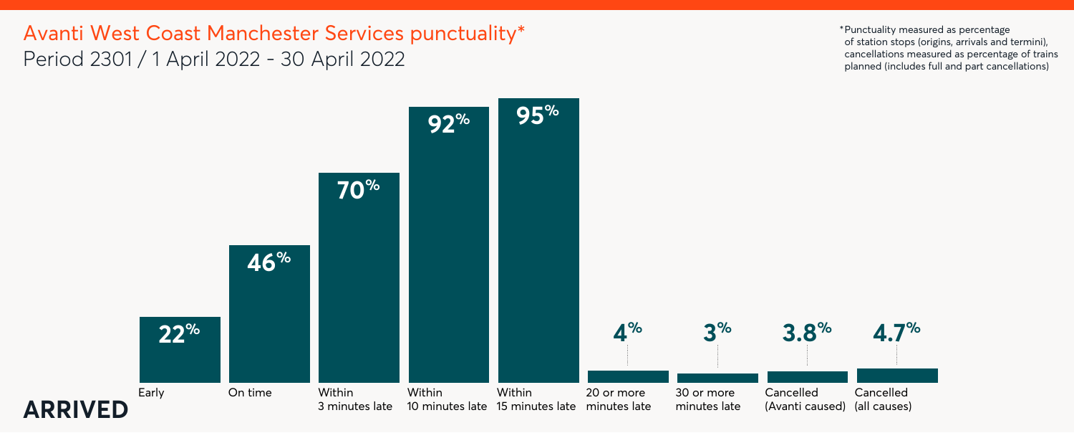

## Avanti West Coast Manchester Services punctuality\* Period 2301 / 1 April 2022 - 30 April 2022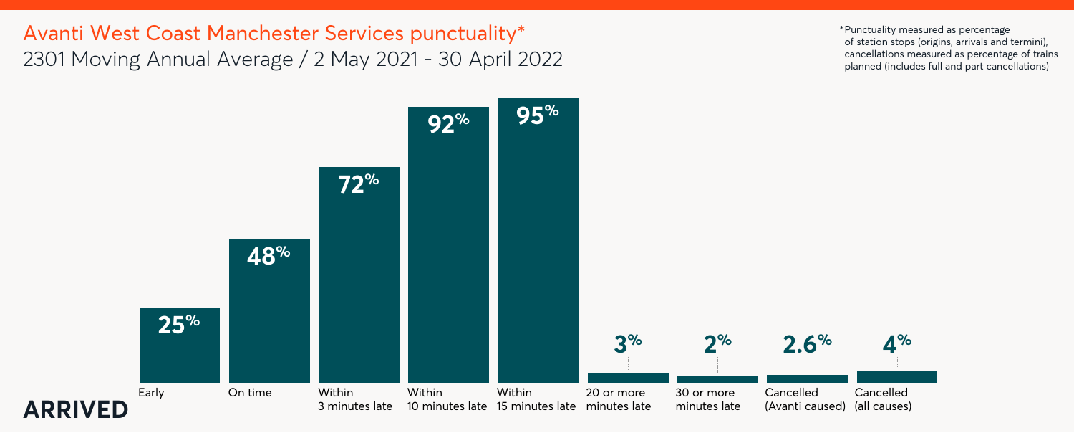

Avanti West Coast Manchester Services punctuality\* 2301 Moving Annual Average / 2 May 2021 - 30 April 2022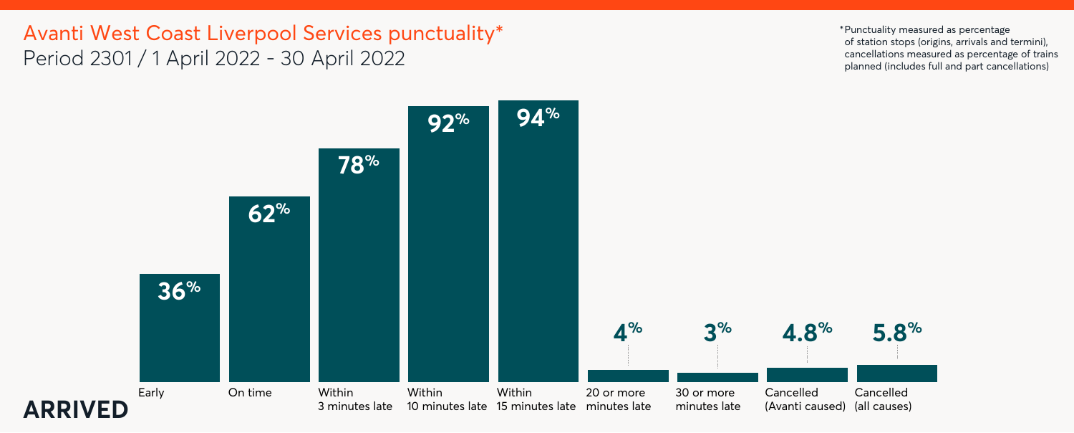

## Avanti West Coast Liverpool Services punctuality\* Period 2301 / 1 April 2022 - 30 April 2022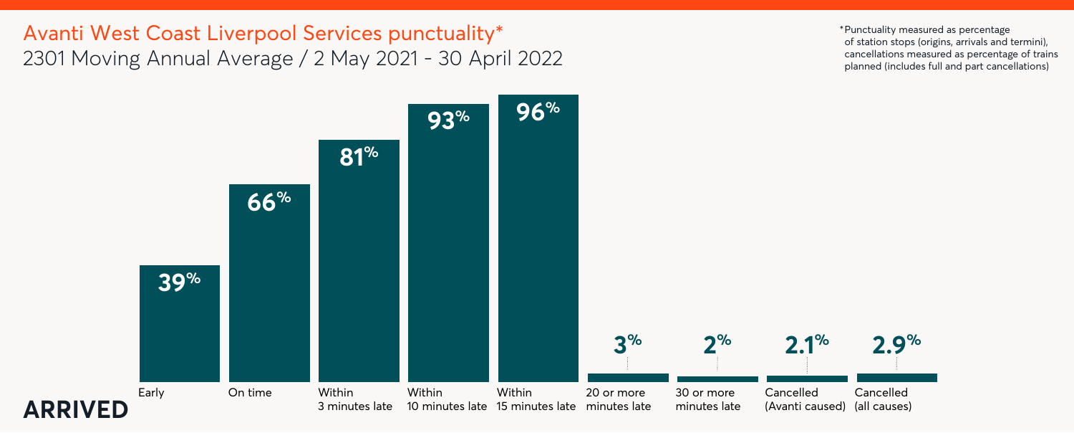

## Avanti West Coast Liverpool Services punctuality\* 2301 Moving Annual Average / 2 May 2021 - 30 April 2022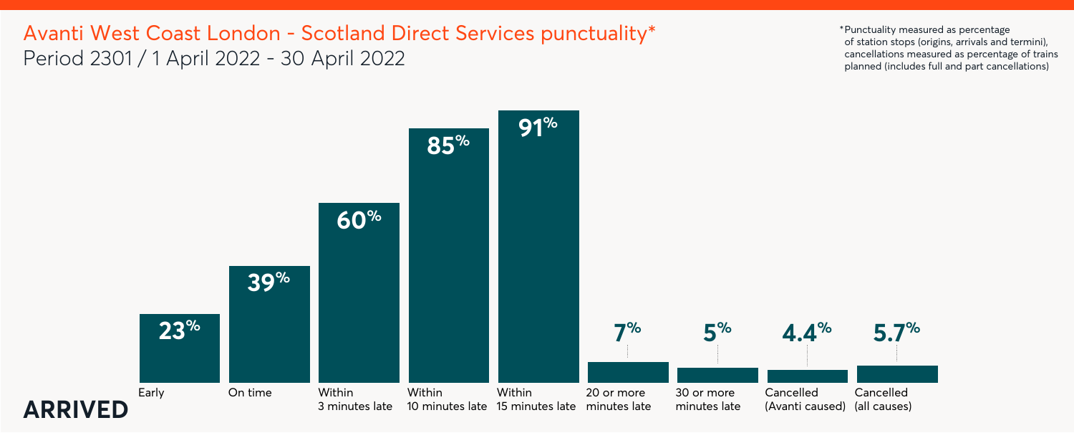



## Avanti West Coast London - Scotland Direct Services punctuality\* Period 2301 / 1 April 2022 - 30 April 2022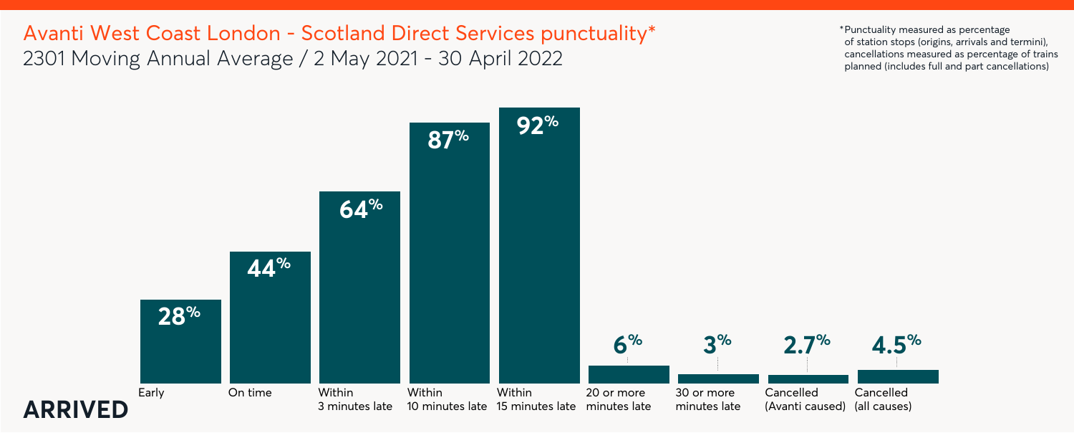



## Avanti West Coast London - Scotland Direct Services punctuality\* 2301 Moving Annual Average / 2 May 2021 - 30 April 2022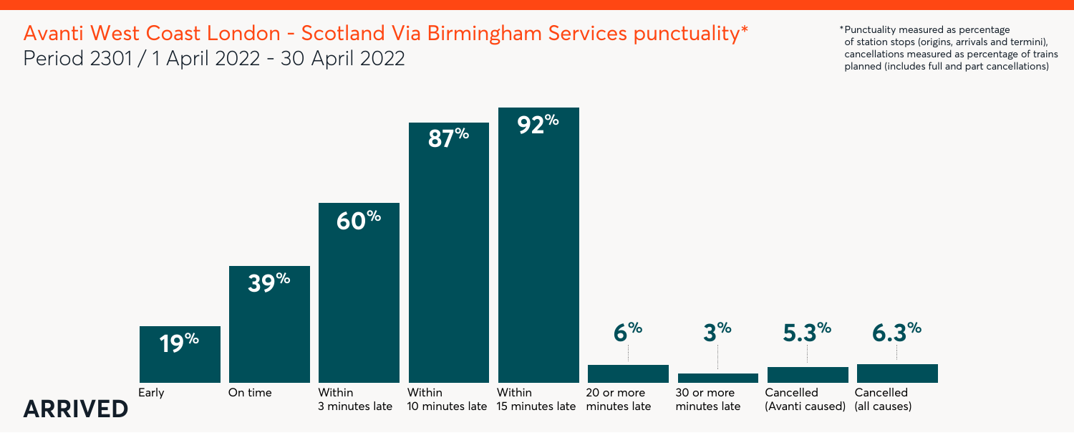



# Avanti West Coast London - Scotland Via Birmingham Services punctuality\* Period 2301 / 1 April 2022 - 30 April 2022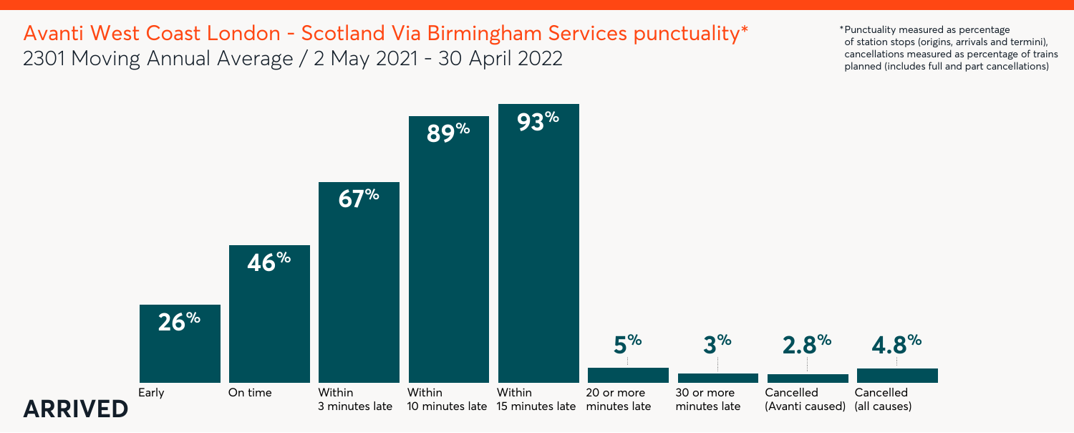



Avanti West Coast London - Scotland Via Birmingham Services punctuality\* 2301 Moving Annual Average / 2 May 2021 - 30 April 2022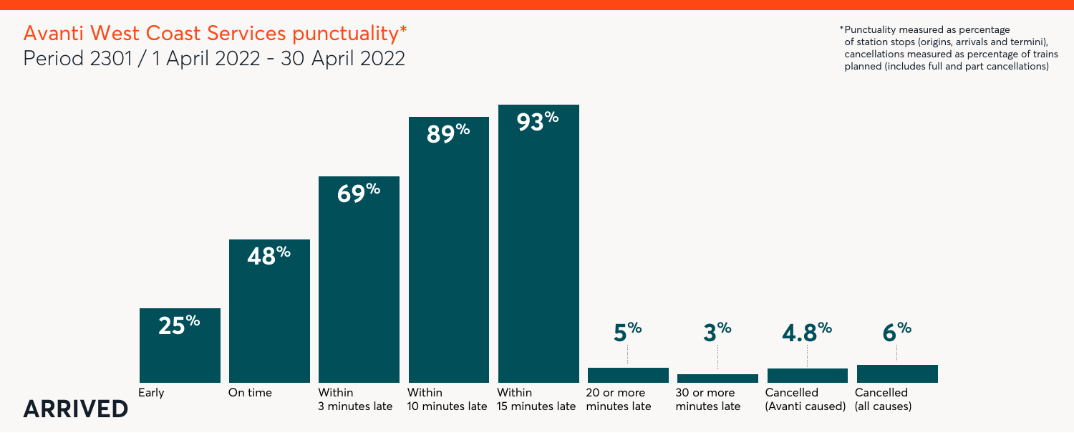



### Avanti West Coast Services punctuality\* Period 2301 / 1 April 2022 - 30 April 2022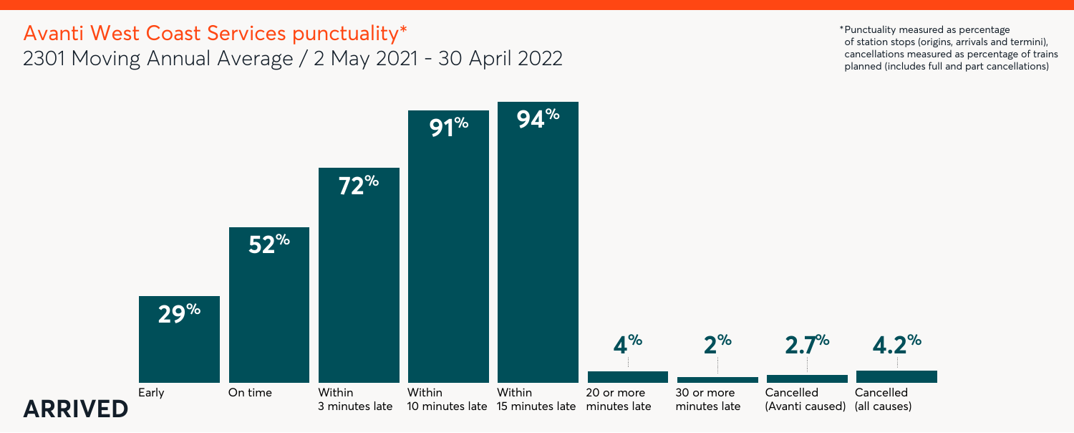



## Avanti West Coast Services punctuality\* 2301 Moving Annual Average / 2 May 2021 - 30 April 2022